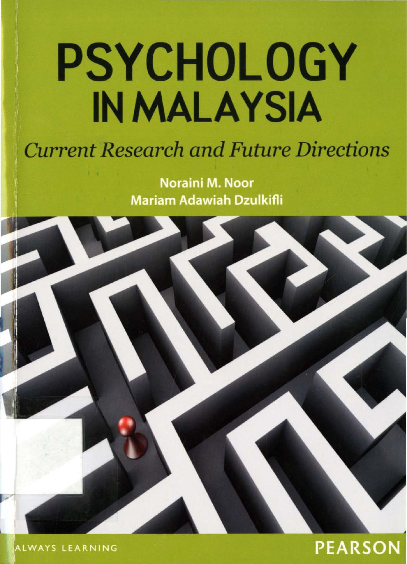# **PSYCHOLOGY** IN MALAYSIA

### *Current Research and Future Directions*

**Noraini M. Noor Mariam Adawiah Dzulkifli** 

**PEARSON** 

ALWAYS LEARNING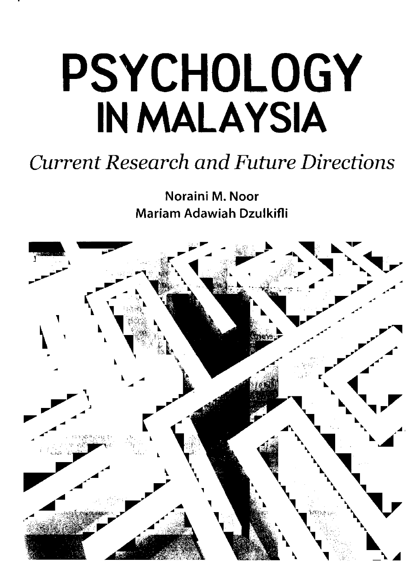# **PSYCHOLOGY** IN MALAYSIA

## *Current Research and Future Directions*

Noraini M. Noor Mariam Adawiah Dzulkifli

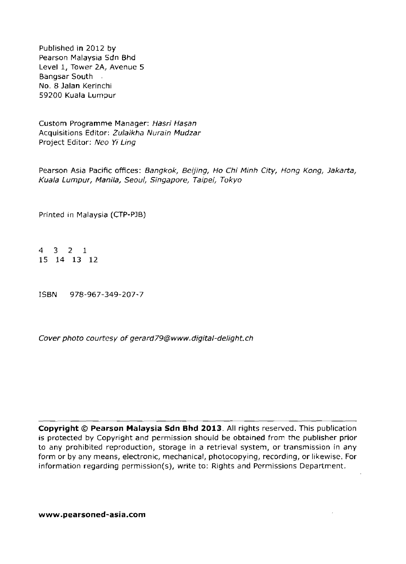Published **in** 2012 by Pearson Malaysia Sdn Bhd Level 1, Tower 2A, Avenue 5 Bangsar South . NO.8 **Jalan** Kerinchi *59200* Kuala Lumpur

Custom Programme Manager: Hasri Hasan Acquisitions Editor: Zulaikha Nurain Mudzar Project Editor: Neo Yi Ling

Pearson Asia Pacific offices: Bangkok, Beijing, Ho Chi Minh City, Hong Kong, Jakarta, Kuala Lumpur, Manila, Seoul, Singapore, Taipei, Tokyo

Printed in Malaysia (CTp·PJB)

4 3 2 1 15 14 13 12

ISBN *978-967-349-207-7*

Cover photo courtesy of gerard79@www.digital-delight.ch

**Copyright © Pearson Malaysia Sdn Bhd 2013.** All rights reserved. This publication is protected by Copyright and permission should be obtained from the publisher prior to any prohibited reproduction, storage in a retrieval system, or transmission in any form or by any means, electronic, mechanical, photocopying, recording, or likewise. For information regarding permission(s), write to: Rights and Permissions Department.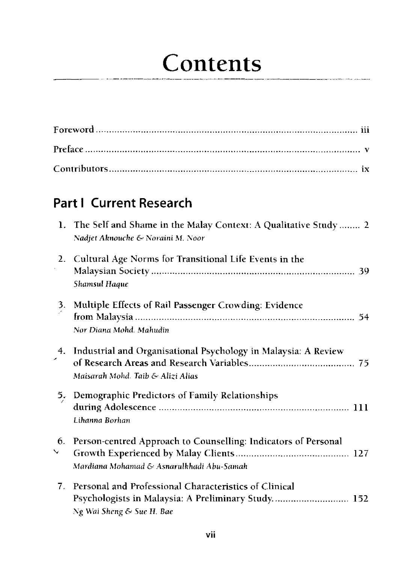# Contents

#### **Part I Current Research**

|         | 1. The Self and Shame in the Malay Context: A Qualitative Study 2<br>Nadjet Aknouche & Noraini M. Noor                                   |
|---------|------------------------------------------------------------------------------------------------------------------------------------------|
| 2.      | Cultural Age Norms for Transitional Life Events in the<br>Shamsul Haque                                                                  |
|         | Multiple Effects of Rail Passenger Crowding: Evidence<br>Nor Diana Mohd. Mahudin                                                         |
|         | 4. Industrial and Organisational Psychology in Malaysia: A Review<br>Maisarah Mohd. Taib & Alizi Alias                                   |
| 5.      | Demographic Predictors of Family Relationships<br>Lihanna Borhan                                                                         |
| 6.<br>╰ | Person-centred Approach to Counselling: Indicators of Personal<br>Mardiana Mohamad & Asnarulkhadi Abu-Samah                              |
| 7.      | Personal and Professional Characteristics of Clinical<br>Psychologists in Malaysia: A Preliminary Study 152<br>Ng Wai Sheng & Sue H. Bae |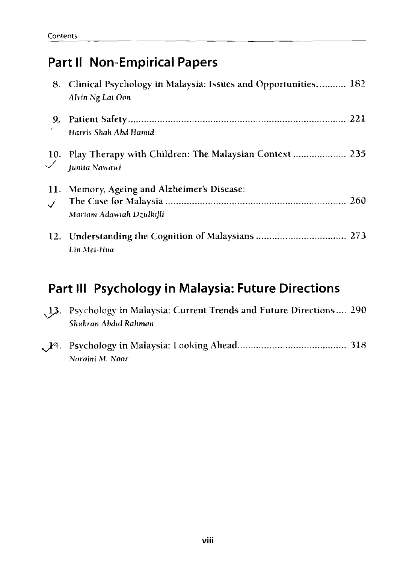#### **Part II Non-Empirical Papers**

*Noraini* M. *Noor*

|     | 8. Clinical Psychology in Malaysia: Issues and Opportunities 182<br>Alvin Ng Lai Oon |  |
|-----|--------------------------------------------------------------------------------------|--|
|     | Harris Shah Abd Hamid                                                                |  |
|     | 10. Play Therapy with Children: The Malaysian Context  235<br>Junita Nawawi          |  |
| 11. | Memory, Ageing and Alzheimer's Disease:<br>Mariam Adawiah Dzulkifli                  |  |
|     | Lin Mei-Hua                                                                          |  |

#### **Part III Psychology in Malaysia: Future Directions**

| 13. Psychology in Malaysia: Current Trends and Future Directions 290<br>Shukran Abdul Rahman |  |
|----------------------------------------------------------------------------------------------|--|
|                                                                                              |  |